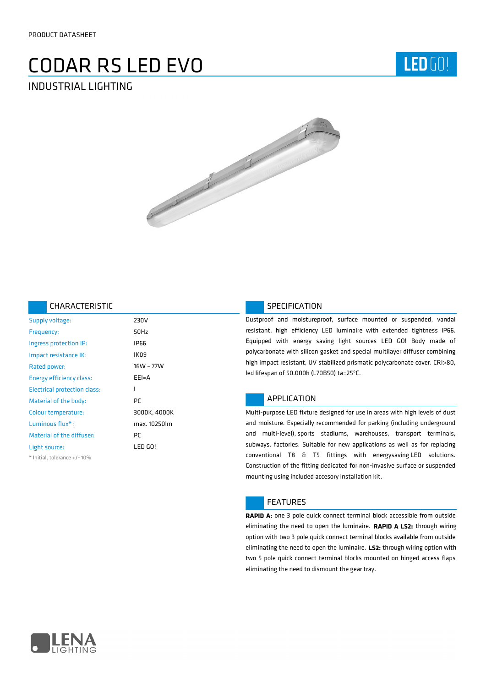### CODAR RS LED EVO INDUSTRIAL LIGHTING

## LED GO!



### CHARACTERISTIC

| Supply voltage:                     | 230V         |
|-------------------------------------|--------------|
| Frequency:                          | 50Hz         |
| Ingress protection IP:              | <b>IP66</b>  |
| Impact resistance IK:               | IK09         |
| Rated power:                        | 16W - 77W    |
| <b>Energy efficiency class:</b>     | $E E = A$    |
| <b>Electrical protection class:</b> | ı            |
| Material of the body:               | PC.          |
| Colour temperature:                 | 3000K, 4000K |
| Luminous $flux^*$ :                 | max. 10250lm |
| Material of the diffuser:           | PC.          |
| Light source:                       | LED GO!      |
| * Initial, tolerance +/-10%         |              |

### SPECIFICATION

Dustproof and moistureproof, surface mounted or suspended, vandal resistant, high efficiency LED luminaire with extended tightness IP66. Equipped with energy saving light sources LED GO! Body made of polycarbonate with silicon gasket and special multilayer diffuser combining high impact resistant, UV stabilized prismatic polycarbonate cover. CRI>80, led lifespan of 50.000h (L70B50) ta=25ºC.

### APPLICATION

Multi-purpose LED fixture designed for use in areas with high levels of dust and moisture. Especially recommended for parking (including underground and multi-level), sports stadiums, warehouses, transport terminals, subways, factories. Suitable for new applications as well as for replacing conventional T8 & T5 fittings with energysaving LED solutions. Construction of the fitting dedicated for non-invasive surface or suspended mounting using included accesory installation kit.

### FEATURES

**RAPID A:** one 3 pole quick connect terminal block accessible from outside eliminating the need to open the luminaire. **RAPID A LS2:** through wiring option with two 3 pole quick connect terminal blocks available from outside eliminating the need to open the luminaire. **LS2:** through wiring option with two 5 pole quick connect terminal blocks mounted on hinged access flaps eliminating the need to dismount the gear tray.

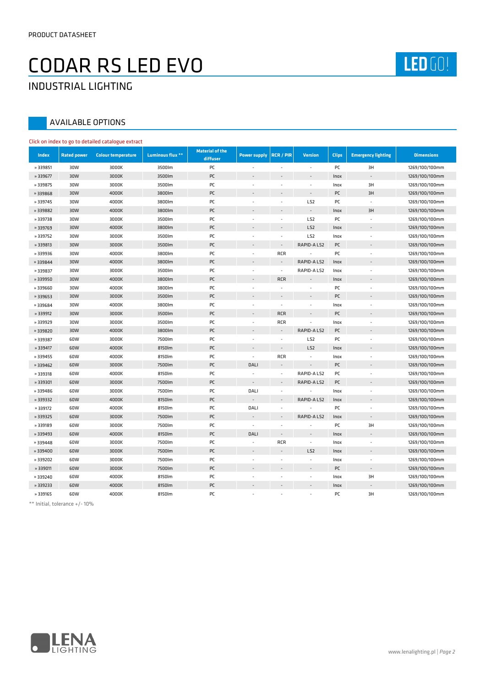# CODAR RS LED EVO

INDUSTRIAL LIGHTING

### AVAILABLE OPTIONS

| Click on index to go to detailed catalogue extract |         |                |             |                         |                          |                          |                          |              |                          |               |
|----------------------------------------------------|---------|----------------|-------------|-------------------------|--------------------------|--------------------------|--------------------------|--------------|--------------------------|---------------|
| $ln d$ e x                                         | Rated p | Colour tempe   | Luminous fl | Material of<br>diffuser | Power suRCR /            |                          | Version Clip             |              | Emergency                | Dimensions    |
| »339851                                            | 30W     | 3000K          | 3500lm      | P C                     | $\overline{\phantom{a}}$ | $\overline{\phantom{a}}$ | $\overline{\phantom{a}}$ | P C          | 3 H                      | 1269/100/100  |
| »33967                                             | 30W     | 3000K          | 3500lm      | P C                     | $\overline{\phantom{a}}$ |                          | $\overline{\phantom{a}}$ | ln 0         | $\sim$                   | 1269/100/100  |
| »339875                                            | 30W     | 3000K          | 3500lm      | P C                     | $\overline{\phantom{a}}$ | $\sim$                   | $\overline{\phantom{a}}$ | Inox         | 3H                       | 1269/100/1001 |
| »33986                                             | 30W     | 4000K          | 3800lm      | P C                     | $\blacksquare$           |                          | $\sim$                   | P C          | 3H                       | 1269/100/100  |
| »339745                                            | 30W     | 4000K          | 3800lm      | P C                     | $\overline{\phantom{a}}$ | $\overline{\phantom{a}}$ | LS <sub>2</sub>          | P C          | $\omega_{\rm c}$         | 1269/100/100  |
| »33988                                             | 30W     | 4000K          | 3800lm      | P C                     | $\overline{\phantom{a}}$ |                          | $\sim$                   | $ no\rangle$ | 3H                       | 1269/100/100  |
| »339738                                            | 30W     | 3000K          | 3500lm      | P C                     | $\overline{\phantom{a}}$ | $\overline{\phantom{a}}$ | LS <sub>2</sub>          | P C          | $\overline{\phantom{a}}$ | 1269/100/100  |
| »33976                                             | 30W     | 4000K          | 3800lm      | P C                     | $\overline{\phantom{a}}$ | $\overline{\phantom{a}}$ | LS <sub>2</sub>          | ln 0         | $\overline{\phantom{a}}$ | 1269/100/100  |
| »339752                                            | 30W     | 3000K          | 3500lm      | P C                     | $\overline{\phantom{a}}$ | $\blacksquare$           | LS <sub>2</sub>          | Inox         | $\overline{\phantom{a}}$ | 1269/100/100  |
| »33981                                             | 30W     | 3000K          | 3500lm      | P C                     | $\overline{\phantom{a}}$ | $\overline{\phantom{a}}$ | RAPID-A                  | P C          | $\overline{\phantom{a}}$ | 1269/100/100  |
| »339936                                            | 30W     | 4000K          | 3800lm      | P C                     | $\overline{\phantom{a}}$ | <b>RCR</b>               | $\overline{\phantom{a}}$ | P C          | $\overline{\phantom{a}}$ | 1269/100/100  |
| »33984                                             | 30W     | 4000K          | 3800lm      | P C                     | $\overline{\phantom{a}}$ | $\overline{\phantom{a}}$ | RAPID-A                  | ln 0         | $\blacksquare$           | 1269/100/100  |
| »339837                                            | 30W     | 3000K          | 3500lm      | P C                     | $\overline{\phantom{a}}$ | $\overline{\phantom{a}}$ | RAPID-A LISh2bx          |              | $\overline{\phantom{a}}$ | 1269/100/100  |
| »33995                                             | 30W     | 4000K          | 3800lm      | P C                     | $\overline{\phantom{a}}$ | <b>RCR</b>               | $\sim$                   | $ no\rangle$ | $\blacksquare$           | 1269/100/100  |
| »339660                                            | 30W     | 4000K          | 3800lm      | P C                     | $\overline{\phantom{a}}$ | $\overline{\phantom{a}}$ | $\blacksquare$           | P C          | $\overline{\phantom{a}}$ | 1269/100/100  |
| »33965                                             | 30W     | 3000K          | 3500lm      | P C                     | $\overline{\phantom{a}}$ |                          | $\overline{\phantom{a}}$ | P C          |                          | 1269/100/100  |
| »339684                                            | 30W     | 4000K          | 3800lm      | P C                     | $\overline{\phantom{a}}$ | $\overline{\phantom{a}}$ | $\sim$                   | Inox         | $\overline{\phantom{a}}$ | 1269/100/1001 |
| »33991                                             | 30W     | 3000K          | 3500lm      | P C                     | $\overline{\phantom{a}}$ | <b>RCR</b>               | $\blacksquare$           | P C          | $\overline{\phantom{a}}$ | 1269/100/100  |
| »339929                                            | 30W     | 3000K          | 3500lm      | P C                     | $\overline{\phantom{a}}$ | <b>RCR</b>               | $\overline{\phantom{a}}$ | Inox         | $\overline{\phantom{a}}$ | 1269/100/100  |
| »33982                                             | 30W     | 4000K          | 3800lm      | P C                     | $\overline{\phantom{a}}$ |                          | RAPID-A                  | P C          | $\overline{\phantom{a}}$ | 1269/100/100  |
| »339387                                            | 60W     | 3000K          | 7500lm      | P C                     | $\overline{\phantom{a}}$ | $\overline{\phantom{a}}$ | LS <sub>2</sub>          | P C          | $\overline{\phantom{a}}$ | 1269/100/100  |
| »33941                                             | 60W     | 4000K          | 8150lm      | P C                     | $\overline{\phantom{a}}$ | $\overline{\phantom{a}}$ | LS <sub>2</sub>          | ln 0         | $\blacksquare$           | 1269/100/100  |
| »339455                                            | 60W     | 4000K          | 8150lm      | P C                     | $\blacksquare$           | <b>RCR</b>               | $\overline{\phantom{a}}$ | In o x       | $\overline{\phantom{a}}$ | 1269/100/100  |
| »33946                                             | 60W     | 3000K          | 7500lm      | P C                     | DALI                     |                          | $\blacksquare$           | P C          | $\overline{\phantom{a}}$ | 1269/100/100  |
| »339318                                            | 60W     | 4000K          | 8150lm      | P C                     | $\overline{\phantom{a}}$ | $\overline{\phantom{a}}$ | RAPID-A LSD              |              | $\overline{\phantom{a}}$ | 1269/100/100  |
| »33930                                             | 60W     | 3000K          | 7500lm      | P C                     | $\overline{\phantom{a}}$ | $\overline{\phantom{a}}$ | RAPID-A                  | P C          | $\blacksquare$           | 1269/100/100  |
| »339486                                            | 60W     | 3000K          | 7500lm      | РC                      | DALI                     | $\overline{\phantom{a}}$ | $\sim$                   | In o x       | $\overline{\phantom{a}}$ | 1269/100/100  |
| »33933                                             | 60W     | 4000K          | 8150lm      | P C                     | $\overline{\phantom{a}}$ | $\overline{\phantom{a}}$ | RAPID-A                  | $ no\rangle$ | $\overline{\phantom{a}}$ | 1269/100/100  |
| »339172                                            | 60W     | 4000K          | 8150lm      | P C                     | DALI                     | $\overline{\phantom{a}}$ | $\overline{\phantom{a}}$ | P C          | $\overline{\phantom{a}}$ | 1269/100/100  |
| »33932                                             | 60W     | 3000K          | 7500lm      | P C                     | $\overline{\phantom{a}}$ | $\overline{a}$           | RAPID-A                  | ln 0         | $\sim$                   | 1269/100/100  |
|                                                    | 60W     |                | 7500lm      | P C                     | $\overline{\phantom{a}}$ | $\sim$                   | $\blacksquare$           | P C          | 3H                       | 1269/100/1001 |
| »339189                                            | 60W     | 3000K<br>4000K | 8150lm      | P C                     | DALI                     | $\overline{\phantom{a}}$ | $\blacksquare$           | ln 0         | $\overline{\phantom{a}}$ |               |
| »33949                                             |         |                |             |                         |                          |                          |                          |              |                          | 1269/100/100  |
| »339448                                            | 60W     | 3000K          | 7500lm      | P C                     | $\overline{\phantom{a}}$ | <b>RCR</b>               | $\sim$                   | In o x       | $\sim$                   | 1269/100/100  |
| »33940                                             | 60W     | 3000K          | 7500lm      | P C                     | $\overline{\phantom{a}}$ |                          | LS <sub>2</sub>          | $ no\rangle$ | $\overline{\phantom{a}}$ | 1269/100/100  |
| »339202                                            | 60W     | 3000K          | 7500lm      | P C                     | $\overline{\phantom{a}}$ | $\overline{\phantom{a}}$ | $\blacksquare$           | Inox         | $\overline{\phantom{a}}$ | 1269/100/100  |
| »33901                                             | 60W     | 3000K          | 7500lm      | P C                     | $\overline{\phantom{a}}$ | $\overline{\phantom{a}}$ | $\overline{\phantom{a}}$ | P C          | $\blacksquare$           | 1269/100/100  |
| »339240                                            | 60W     | 4000K          | 8150lm      | P C                     | $\overline{\phantom{a}}$ | $\overline{a}$           | $\overline{\phantom{a}}$ | Inox         | 3H                       | 1269/100/100  |
| » 33923                                            | 60W     | 4000K          | 8150lm      | P C                     | $\overline{\phantom{a}}$ |                          |                          | ln 0         | $\blacksquare$           | 1269/100/100  |
| »339165                                            | 60W     | 4000K          | 8150lm      | P C                     | ٠                        |                          |                          | P C          | 3H                       | 1269/100/100  |

\*\* [Init](http://karty.lenalighting.pl/en-CODAR_LED_EVO_60W_PC_IP66_3000K_1269mm.pdf)ial, tolerance +/- 10%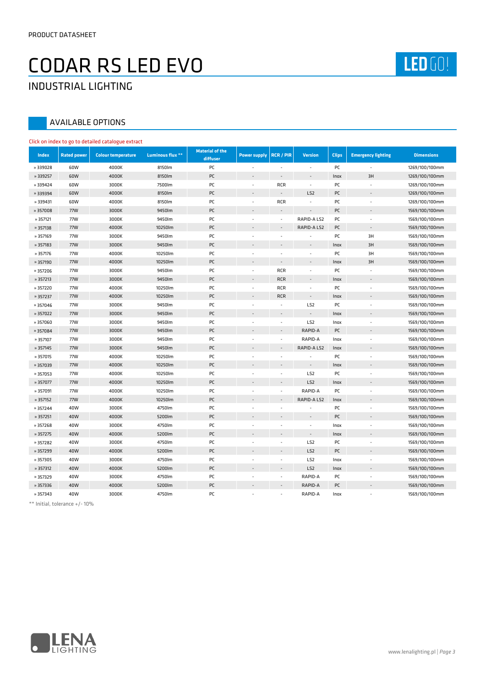# CODAR RS LED EVO

### INDUSTRIAL LIGHTING

### AVAILABLE OPTIONS

#### Click on index to go to detailed catalogue extract

| $ $ ndex $ $ |       | Rated p Colour tempe | Luminous fl | Material of<br>diffuser |                          | Power suRCR,             | Version                  |               | Clip Emergency I         | Dimensions    |
|--------------|-------|----------------------|-------------|-------------------------|--------------------------|--------------------------|--------------------------|---------------|--------------------------|---------------|
| »339028      | 60W   | 4000K                | 8150lm      | P C                     | $\sim$                   | $\blacksquare$           | $\blacksquare$           | P C           | $\sim$                   | 1269/100/100  |
| »33925       | 60W   | 4000K                | 8150lm      | P C                     | $\sim$                   | $\sim$                   | $\blacksquare$           | $ n0\rangle$  | 3H                       | 1269/100/100  |
| » 339424     | 60W   | 3000K                | 7500lm      | P C                     | $\overline{\phantom{a}}$ | RCR                      | $\blacksquare$           | P C           | $\omega$                 | 1269/100/100  |
| »33939       | 60W   | 4000K                | 8150lm      | P C                     | $\overline{\phantom{a}}$ | $\overline{\phantom{a}}$ | LS <sub>2</sub>          | P C           | $\blacksquare$           | 1269/100/100  |
| »339431      | 60W   | 4000K                | 8150lm      | P C                     | $\blacksquare$           | <b>RCR</b>               | $\overline{\phantom{a}}$ | P C           | $\overline{\phantom{a}}$ | 1269/100/1001 |
| »35700       | 77W   | 3000K                | 9450lm      | P C                     | $\overline{\phantom{a}}$ |                          | $\sim$                   | P C           | $\overline{\phantom{a}}$ | 1569/100/100r |
| »357121      | 7 7 W | 3000K                | 9450lm      | P C                     | $\blacksquare$           | $\blacksquare$           | RAPID-A L SE             |               | $\blacksquare$           | 1569/100/100r |
| »35713       | 77W   | 4000K                | 102501m     | P C                     |                          | $\overline{\phantom{a}}$ | RAPID-A                  | P C           | $\sim$                   | 1569/100/100r |
| »357169      | 7 7 W | 3000K                | 9450lm      | P C                     | $\blacksquare$           | $\sim$                   | $\overline{\phantom{a}}$ | P C           | 3 H                      | 1569/100/100r |
| » 35718      | 77W   | 3000K                | 9450lm      | P C                     | $\overline{\phantom{a}}$ |                          | $\overline{\phantom{a}}$ | $ n0\rangle$  | 3H                       | 1569/100/100r |
| »357176      | 77W   | 4000K                | 102501m     | P C                     | $\blacksquare$           | $\sim$                   | $\overline{\phantom{a}}$ | P C           | 3H                       | 1569/100/100r |
| » 35719      | 77W   | 4000K                | 102501m     | P C                     | $\overline{\phantom{a}}$ |                          |                          | $ n0\rangle$  | 3H                       | 1569/100/100r |
| »357206      | 7 7 W | 3000K                | 9450lm      | P C                     | $\blacksquare$           | <b>RCR</b>               | $\blacksquare$           | P C           | $\blacksquare$           | 1569/100/100r |
| »35721       | 77W   | 3000K                | 9450lm      | P C                     | $\overline{\phantom{a}}$ | <b>RCR</b>               | $\overline{\phantom{a}}$ | $ n0\rangle$  | $\overline{\phantom{a}}$ | 1569/100/100r |
| »357220      | 7 7 W | 4000K                | 10250lm     | P C                     | $\overline{\phantom{a}}$ | <b>RCR</b>               | $\overline{\phantom{a}}$ | P C           | $\overline{\phantom{a}}$ | 1569/100/100r |
| »35723       | 77W   | 4000K                | 102501m     | P C                     | $\blacksquare$           | RCR                      | $\overline{\phantom{a}}$ | $ n0\rangle$  |                          | 1569/100/100r |
| »357046      | 77W   | 3000K                | 9450lm      | P C                     | $\sim$                   | $\sim$                   | LS2                      | P C           | $\sim$                   | 1569/100/100r |
| »35702       | 77W   | 3000K                | 9450lm      | P C                     |                          |                          | $\sim$                   | $ n0\rangle$  | $\overline{\phantom{a}}$ | 1569/100/100  |
| »357060      | 7 7 W | 3000K                | 9450lm      | P C                     | $\blacksquare$           | $\sim$                   | LS2                      | In o x        | $\blacksquare$           | 1569/100/100r |
| »35708       | 77W   | 3000K                | 9450lm      | P C                     | $\overline{\phantom{a}}$ | $\overline{\phantom{a}}$ | $RAPID-.$                | P C           |                          | 1569/100/100r |
| »357107      | 7 7 W | 3000K                | 9450lm      | P C                     | $\blacksquare$           | $\sim$                   | RAPID-A Inox             |               | $\blacksquare$           | 1569/100/100r |
| »35714       | 77W   | 3000K                | 9450lm      | P C                     | $\overline{\phantom{a}}$ |                          | RAPID-A Inox             |               |                          | 1569/100/100r |
| »357015      | 77W   | 4000K                | 102501m     | P C                     | $\sim$                   | $\overline{\phantom{a}}$ | $\omega$                 | P C           | $\blacksquare$           | 1569/100/100r |
| »35703       | 77W   | 4000K                | 102501m     | P C                     | $\blacksquare$           |                          | $\sim$                   | $ n0\rangle$  | $\blacksquare$           | 1569/100/100r |
| » 357053     | 7 7 W | 4000K                | 102501m     | P C                     | $\sim$                   | $\sim$                   | LS2                      | P C           | $\overline{\phantom{a}}$ | 1569/100/100r |
| »35707       | 77W   | 4000K                | 102501m     | P C                     | $\overline{\phantom{a}}$ | $\overline{\phantom{a}}$ | LS <sub>2</sub>          | $ n0\rangle$  | $\overline{\phantom{a}}$ | 1569/100/100r |
| »357091      | 7 7 W | 4000K                | 102501m     | P C                     | $\blacksquare$           | $\blacksquare$           | RAPID-A PC               |               | $\blacksquare$           | 1569/100/100r |
| »35715       | 77W   | 4000K                | 102501m     | P C                     | $\overline{\phantom{a}}$ |                          | $R$ $A$ $P$ $I$ $D$ $ A$ | $ n_0\rangle$ | $\overline{a}$           | 1569/100/100r |
| »357244      | 40W   | 3000K                | 4750lm      | P C                     | $\overline{\phantom{a}}$ |                          | $\blacksquare$           | P C           | $\blacksquare$           | 1569/100/100r |
| »35725       | 40W   | 4000K                | 52001m      | P C                     | ۰                        | $\overline{\phantom{a}}$ | $\overline{\phantom{a}}$ | P C           | $\overline{\phantom{a}}$ | 1569/100/100r |
| »357268      | 40W   | 3000K                | 4750lm      | P C                     | $\overline{\phantom{a}}$ |                          | $\overline{\phantom{a}}$ | Inox          | $\blacksquare$           | 1569/100/100r |
| »35727       | 40W   | 4000K                | 52001m      | P C                     | $\overline{\phantom{a}}$ |                          | $\sim$                   | $ n0\rangle$  |                          | 1569/100/100r |
| » 357282     | 40W   | 3000K                | 4750lm      | P C                     | $\blacksquare$           | $\overline{\phantom{a}}$ | LS <sub>2</sub>          | P C           | $\overline{\phantom{a}}$ | 1569/100/100r |
| »35729       | 40W   | 4000K                | 52001m      | P C                     | $\overline{\phantom{a}}$ |                          | LS <sub>2</sub>          | P C           |                          | 1569/100/100r |
| »357305      | 40W   | 3000K                | 4750lm      | P C                     | $\overline{\phantom{a}}$ | $\overline{\phantom{a}}$ | LS <sub>2</sub>          | In o x        | $\blacksquare$           | 1569/100/100r |
| »35731       | 40W   | 4000K                | 52001m      | P C                     |                          |                          | LS <sub>2</sub>          | $ n0\rangle$  | ۰                        | 1569/100/100r |
| » 357329     | 40W   | 3000K                | 4750lm      | P C                     | $\blacksquare$           |                          | RAPID-A PC               |               | $\overline{a}$           | 1569/100/100r |
| » 35733      | 40W   | 4000K                | 5200lm      | P C                     |                          |                          | RAPID-, PC               |               |                          | 1569/100/100r |
| » 357343     | 40W   | 3000K                | 4750lm      | P C                     |                          |                          | RAPID-A Inox             |               |                          | 1569/100/100r |

\*\* [Ini](http://karty.lenalighting.pl/en-Codar_RS_LED_EVO_40W_PC_IP66_4000K_1560mm_LS2_IN.pdf)[t](http://karty.lenalighting.pl/en-Codar_RS_LED_EVO__40W_PC_IP66_3000K_1560mm_LS2_I.pdf)ial, tolerance +/- 10%